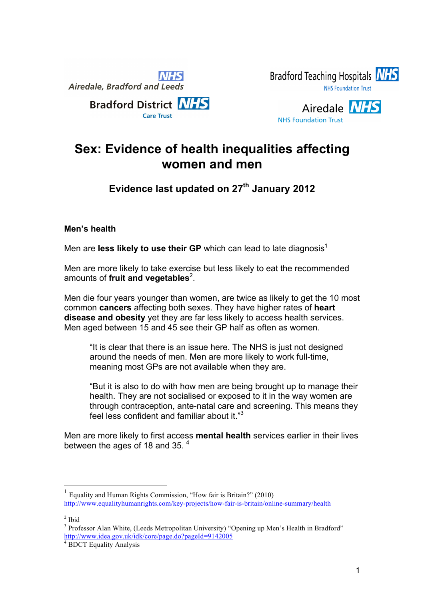





# **Sex: Evidence of health inequalities affecting women and men**

## **Evidence last updated on 27th January 2012**

### **Men's health**

Men are **less likely to use their GP** which can lead to late diagnosis<sup>1</sup>

Men are more likely to take exercise but less likely to eat the recommended amounts of fruit and vegetables<sup>2</sup>.

Men die four years younger than women, are twice as likely to get the 10 most common **cancers** affecting both sexes. They have higher rates of **heart disease and obesity** yet they are far less likely to access health services. Men aged between 15 and 45 see their GP half as often as women.

"It is clear that there is an issue here. The NHS is just not designed around the needs of men. Men are more likely to work full-time, meaning most GPs are not available when they are.

"But it is also to do with how men are being brought up to manage their health. They are not socialised or exposed to it in the way women are through contraception, ante-natal care and screening. This means they feel less confident and familiar about it."3

Men are more likely to first access **mental health** services earlier in their lives between the ages of 18 and 35.<sup>4</sup>

 $2$  Ibid

<sup>1</sup> Equality and Human Rights Commission, "How fair is Britain?" (2010) http://www.equalityhumanrights.com/key-projects/how-fair-is-britain/online-summary/health

<sup>&</sup>lt;sup>3</sup> Professor Alan White, (Leeds Metropolitan University) "Opening up Men's Health in Bradford" http://www.idea.gov.uk/idk/core/page.do?pageId=9142005

<sup>4</sup> BDCT Equality Analysis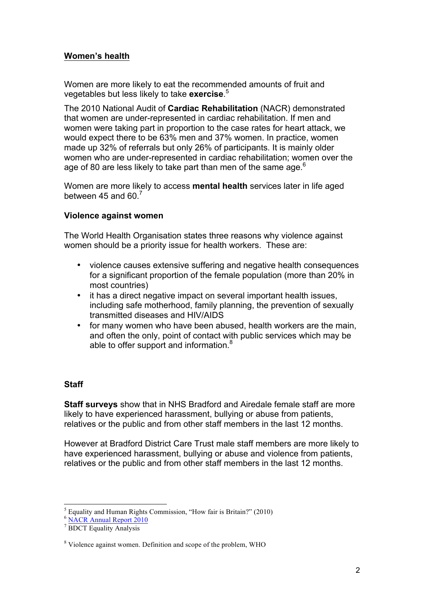#### **Women's health**

Women are more likely to eat the recommended amounts of fruit and vegetables but less likely to take **exercise**. 5

The 2010 National Audit of **Cardiac Rehabilitation** (NACR) demonstrated that women are under-represented in cardiac rehabilitation. If men and women were taking part in proportion to the case rates for heart attack, we would expect there to be 63% men and 37% women. In practice, women made up 32% of referrals but only 26% of participants. It is mainly older women who are under-represented in cardiac rehabilitation; women over the age of 80 are less likely to take part than men of the same age. $6\,$ 

Women are more likely to access **mental health** services later in life aged between 45 and  $60<sup>7</sup>$ 

#### **Violence against women**

The World Health Organisation states three reasons why violence against women should be a priority issue for health workers. These are:

- violence causes extensive suffering and negative health consequences for a significant proportion of the female population (more than 20% in most countries)
- it has a direct negative impact on several important health issues, including safe motherhood, family planning, the prevention of sexually transmitted diseases and HIV/AIDS
- for many women who have been abused, health workers are the main, and often the only, point of contact with public services which may be able to offer support and information.<sup>8</sup>

#### **Staff**

**Staff surveys** show that in NHS Bradford and Airedale female staff are more likely to have experienced harassment, bullying or abuse from patients, relatives or the public and from other staff members in the last 12 months.

However at Bradford District Care Trust male staff members are more likely to have experienced harassment, bullying or abuse and violence from patients, relatives or the public and from other staff members in the last 12 months.

 $<sup>5</sup>$  Equality and Human Rights Commission, "How fair is Britain?" (2010)</sup>

<sup>6</sup> NACR Annual Report 2010

<sup>7</sup> BDCT Equality Analysis

<sup>8</sup> Violence against women. Definition and scope of the problem, WHO